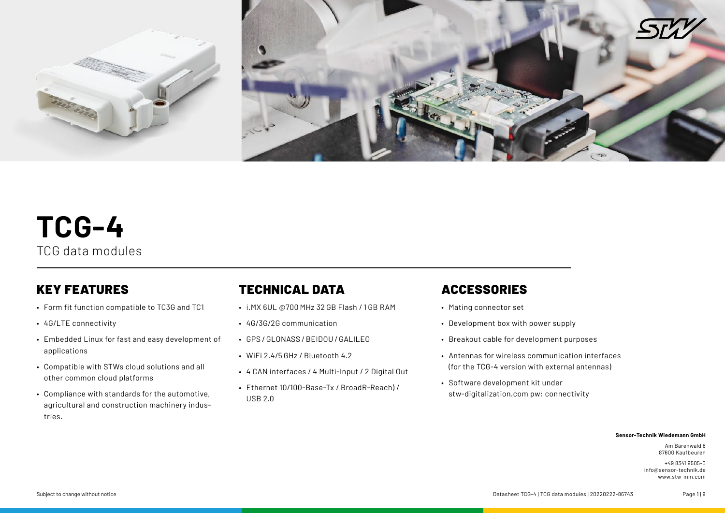

# **TCG-4** TCG data modules

## KEY FEATURES

- Form fit function compatible to TC3G and TC1
- 4G/LTE connectivity
- Embedded Linux for fast and easy development of applications
- Compatible with STWs cloud solutions and all other common cloud platforms
- Compliance with standards for the automotive, agricultural and construction machinery industries.

## TECHNICAL DATA

- i.MX 6UL @700 MHz 32 GB Flash / 1 GB RAM
- 4G/3G/2G communication
- GPS / GLONASS / BEIDOU / GALILEO
- WiFi 2.4/5 GHz / Bluetooth 4.2
- 4 CAN interfaces / 4 Multi-Input / 2 Digital Out
- Ethernet 10/100-Base-Tx / BroadR-Reach) / USB 2.0

## ACCESSORIES

- Mating connector set
- Development box with power supply
- Breakout cable for development purposes
- Antennas for wireless communication interfaces (for the TCG-4 version with external antennas)
- Software development kit under stw-digitalization.com pw: connectivity

### **Sensor-Technik Wiedemann GmbH**

Am Bärenwald 6 87600 Kaufbeuren

+49 8341 9505-0 info@sensor-technik.de www.stw-mm.com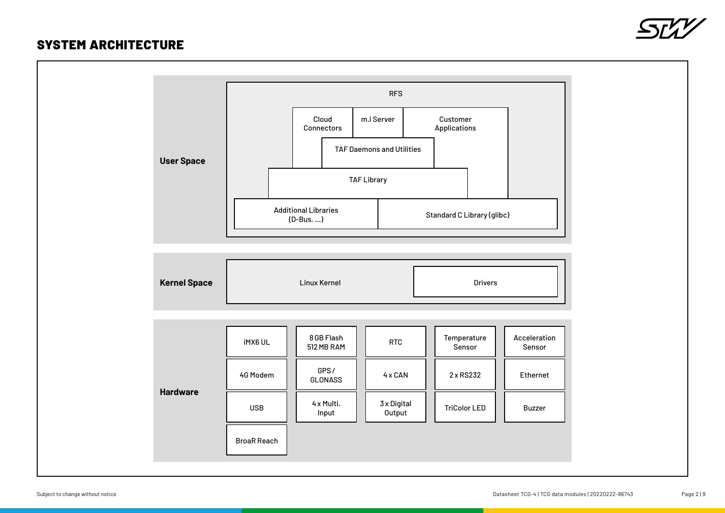### SYSTEM ARCHITECTURE



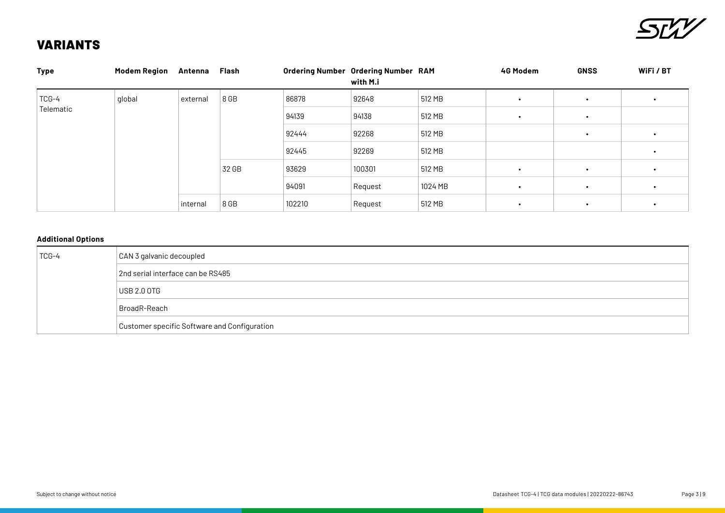

## VARIANTS

| <b>Type</b>        | <b>Modem Region</b> | Antenna  | Flash |        | <b>Ordering Number Ordering Number RAM</b><br>with M.i |         | 4G Modem  | <b>GNSS</b> | WiFi / BT |
|--------------------|---------------------|----------|-------|--------|--------------------------------------------------------|---------|-----------|-------------|-----------|
| TCG-4<br>Telematic | global              | external | 8 GB  | 86878  | 92648                                                  | 512 MB  | $\bullet$ | $\bullet$   |           |
|                    |                     |          |       | 94139  | 94138                                                  | 512 MB  | $\bullet$ | $\bullet$   |           |
|                    |                     |          |       | 92444  | 92268                                                  | 512 MB  |           | $\bullet$   |           |
|                    |                     |          |       | 92445  | 92269                                                  | 512 MB  |           |             |           |
|                    |                     |          | 32 GB | 93629  | 100301                                                 | 512 MB  | $\bullet$ | $\bullet$   |           |
|                    |                     |          |       | 94091  | Request                                                | 1024 MB | $\bullet$ | $\bullet$   | $\bullet$ |
|                    |                     | internal | 8 GB  | 102210 | Request                                                | 512 MB  | $\bullet$ | $\bullet$   |           |

### **Additional Options**

| TCG-4 | CAN 3 galvanic decoupled                     |
|-------|----------------------------------------------|
|       | 2nd serial interface can be RS485            |
|       | USB 2.0 OTG                                  |
|       | BroadR-Reach                                 |
|       | Customer specific Software and Configuration |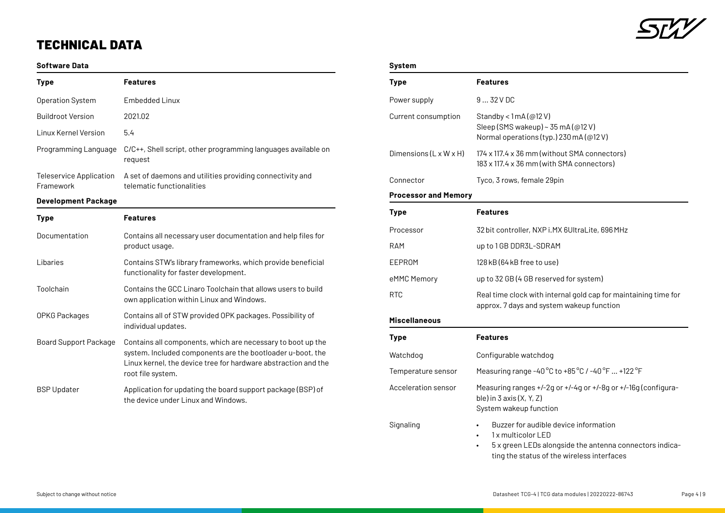

## TECHNICAL DATA

### **Software Data**

| <b>Type</b>                          | <b>Features</b>                                                                                                                                                                                                  |
|--------------------------------------|------------------------------------------------------------------------------------------------------------------------------------------------------------------------------------------------------------------|
| <b>Operation System</b>              | Embedded Linux                                                                                                                                                                                                   |
| <b>Buildroot Version</b>             | 2021.02                                                                                                                                                                                                          |
| <b>Linux Kernel Version</b>          | 5.4                                                                                                                                                                                                              |
| Programming Language                 | C/C++, Shell script, other programming languages available on<br>request                                                                                                                                         |
| Teleservice Application<br>Framework | A set of daemons and utilities providing connectivity and<br>telematic functionalities                                                                                                                           |
| <b>Development Package</b>           |                                                                                                                                                                                                                  |
| <b>Type</b>                          | <b>Features</b>                                                                                                                                                                                                  |
| Documentation                        | Contains all necessary user documentation and help files for<br>product usage.                                                                                                                                   |
| Libaries                             | Contains STW's library frameworks, which provide beneficial<br>functionality for faster development.                                                                                                             |
| Toolchain                            | Contains the GCC Linaro Toolchain that allows users to build<br>own application within Linux and Windows.                                                                                                        |
| OPKG Packages                        | Contains all of STW provided OPK packages. Possibility of<br>individual updates.                                                                                                                                 |
| <b>Board Support Package</b>         | Contains all components, which are necessary to boot up the<br>system. Included components are the bootloader u-boot, the<br>Linux kernel, the device tree for hardware abstraction and the<br>root file system. |
| <b>BSP Updater</b>                   | Application for updating the board support package (BSP) of<br>the device under Linux and Windows.                                                                                                               |

### **System**

| <b>Type</b>                 | <b>Features</b>                                                                                                                                                     |  |  |
|-----------------------------|---------------------------------------------------------------------------------------------------------------------------------------------------------------------|--|--|
| Power supply                | 932VDC                                                                                                                                                              |  |  |
| Current consumption         | Standby < $1mA$ (@12 V)<br>Sleep (SMS wakeup) ~ 35 mA (@12 V)<br>Normal operations (typ.) 230 mA (@12 V)                                                            |  |  |
| Dimensions (L x W x H)      | 174 x 117.4 x 36 mm (without SMA connectors)<br>183 x 117.4 x 36 mm (with SMA connectors)                                                                           |  |  |
| Connector                   | Tyco, 3 rows, female 29pin                                                                                                                                          |  |  |
| <b>Processor and Memory</b> |                                                                                                                                                                     |  |  |
| <b>Type</b>                 | <b>Features</b>                                                                                                                                                     |  |  |
| Processor                   | 32 bit controller, NXP i.MX 6UltraLite, 696 MHz                                                                                                                     |  |  |
| RAM                         | up to 1 GB DDR3L-SDRAM                                                                                                                                              |  |  |
| EEPROM                      | 128 kB (64 kB free to use)                                                                                                                                          |  |  |
| eMMC Memory                 | up to 32 GB (4 GB reserved for system)                                                                                                                              |  |  |
| <b>RTC</b>                  | Real time clock with internal gold cap for maintaining time for<br>approx. 7 days and system wakeup function                                                        |  |  |
| <b>Miscellaneous</b>        |                                                                                                                                                                     |  |  |
| <b>Type</b>                 | <b>Features</b>                                                                                                                                                     |  |  |
| Watchdog                    | Configurable watchdog                                                                                                                                               |  |  |
| Temperature sensor          | Measuring range -40°C to +85°C / -40°F  +122°F                                                                                                                      |  |  |
| Acceleration sensor         | Measuring ranges +/-2g or +/-4g or +/-8g or +/-16g (configura-<br>ble) in $3 axis(X, Y, Z)$<br>System wakeup function                                               |  |  |
| Signaling                   | Buzzer for audible device information<br>1x multicolor LED<br>5 x green LEDs alongside the antenna connectors indica-<br>ting the status of the wireless interfaces |  |  |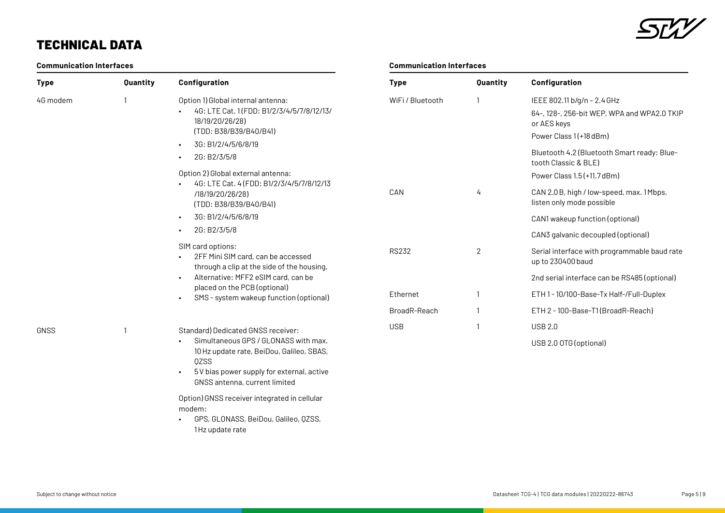

## TECHNICAL DATA

### **Communication Interfaces**

| <b>Type</b> | Quantity | Configuration                                                                                                                                                                                 | Type             | Quantity       | Configuration                                                                                                                                                                              |
|-------------|----------|-----------------------------------------------------------------------------------------------------------------------------------------------------------------------------------------------|------------------|----------------|--------------------------------------------------------------------------------------------------------------------------------------------------------------------------------------------|
| 4G modem    |          | Option 1) Global internal antenna:<br>4G: LTE Cat. 1(FDD: B1/2/3/4/5/7/8/12/13/<br>18/19/20/26/28)<br>(TDD: B38/B39/B40/B41)<br>3G: B1/2/4/5/6/8/19<br>$\bullet$<br>2G: B2/3/5/8<br>$\bullet$ | WiFi / Bluetooth |                | IEEE 802.11 b/g/n - 2.4 GHz<br>64-, 128-, 256-bit WEP, WPA and WPA2.0 TKIP<br>or AES keys<br>Power Class 1(+18 dBm)<br>Bluetooth 4.2 (Bluetooth Smart ready: Blue-<br>tooth Classic & BLE) |
|             |          | Option 2) Global external antenna:<br>4G: LTE Cat. 4 (FDD: B1/2/3/4/5/7/8/12/13                                                                                                               |                  |                | Power Class 1.5 (+11.7 dBm)                                                                                                                                                                |
|             |          | /18/19/20/26/28)<br>(TDD: B38/B39/B40/B41)<br>3G: B1/2/4/5/6/8/19<br>$\bullet$                                                                                                                | CAN              | 4              | CAN 2.0 B, high / low-speed, max. 1 Mbps,<br>listen only mode possible                                                                                                                     |
|             |          |                                                                                                                                                                                               |                  |                | CAN1 wakeup function (optional)                                                                                                                                                            |
|             |          | 2G: B2/3/5/8<br>$\bullet$                                                                                                                                                                     |                  |                | CAN3 galvanic decoupled (optional)                                                                                                                                                         |
|             |          | SIM card options:<br>2FF Mini SIM card, can be accessed<br>through a clip at the side of the housing.                                                                                         | <b>RS232</b>     | $\overline{2}$ | Serial interface with programmable baud rate<br>up to 230400 baud                                                                                                                          |
|             |          | Alternative: MFF2 eSIM card, can be<br>$\bullet$                                                                                                                                              |                  |                | 2nd serial interface can be RS485 (optional)                                                                                                                                               |
|             |          | placed on the PCB (optional)<br>SMS - system wakeup function (optional)<br>$\bullet$                                                                                                          | Ethernet         |                | ETH 1 - 10/100-Base-Tx Half-/Full-Duplex                                                                                                                                                   |
|             |          |                                                                                                                                                                                               | BroadR-Reach     |                | ETH 2 - 100-Base-T1(BroadR-Reach)                                                                                                                                                          |
| <b>GNSS</b> |          | Standard) Dedicated GNSS receiver:                                                                                                                                                            | <b>USB</b>       |                | <b>USB 2.0</b>                                                                                                                                                                             |
|             |          | Simultaneous GPS / GLONASS with max.<br>10 Hz update rate, BeiDou, Galileo, SBAS,<br><b>QZSS</b>                                                                                              |                  |                | USB 2.0 OTG (optional)                                                                                                                                                                     |

**Communication Interfaces**

• 5V bias power supply for external, active GNSS antenna, current limited

Option) GNSS receiver integrated in cellular modem:

• GPS, GLONASS, BeiDou, Galileo, QZSS, 1Hz update rate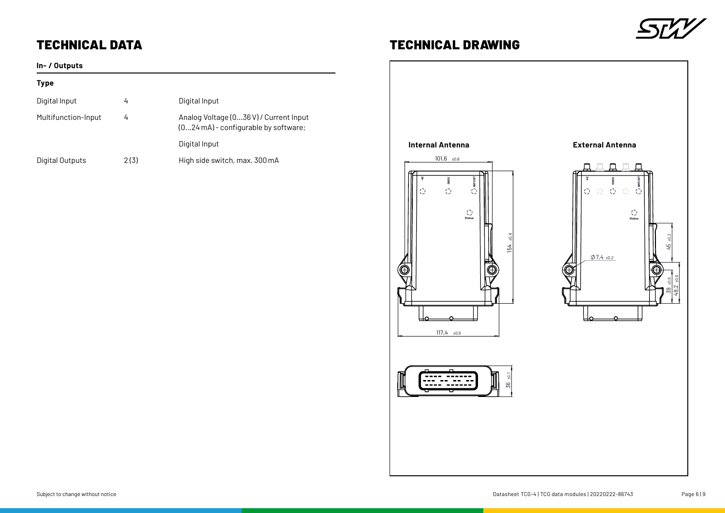

## TECHNICAL DATA TECHNICAL DRAWING

### **In- / Outputs**

### **Type**

| Digital Input       | 4    | Digital Input                                                                   |
|---------------------|------|---------------------------------------------------------------------------------|
| Multifunction-Input | 4    | Analog Voltage (036 V) / Current Input<br>$(024mA)$ - configurable by software; |
|                     |      | Digital Input                                                                   |
| Digital Outputs     | 2(3) | High side switch, max. 300 mA                                                   |

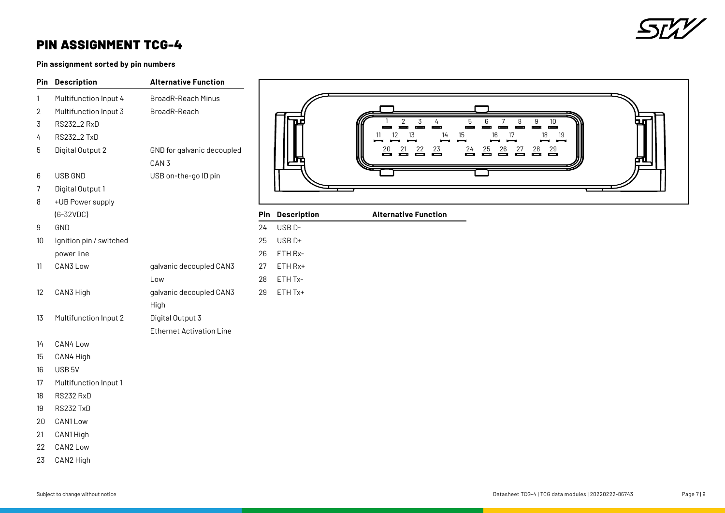

### PIN ASSIGNMENT TCG-4

**Pin assignment sorted by pin numbers**

| Pin               | <b>Description</b>      | <b>Alternative Function</b>                    |
|-------------------|-------------------------|------------------------------------------------|
| 1                 | Multifunction Input 4   | <b>BroadR-Reach Minus</b>                      |
| 2                 | Multifunction Input 3   | BroadR-Reach                                   |
| 3                 | RS232_2 RxD             |                                                |
| 4                 | <b>RS232_2 TxD</b>      |                                                |
| 5                 | Digital Output 2        | GND for galvanic decoupled<br>CAN <sub>3</sub> |
| 6                 | <b>USB GND</b>          | USB on-the-go ID pin                           |
| 7                 | Digital Output 1        |                                                |
| 8                 | +UB Power supply        |                                                |
|                   | $(6-32VDC)$             |                                                |
| 9                 | GND                     |                                                |
| 10                | Ignition pin / switched |                                                |
|                   | power line              |                                                |
| 11                | CAN3 Low                | galvanic decoupled CAN3                        |
|                   |                         | Low                                            |
| $12 \overline{ }$ | CAN3 High               | galvanic decoupled CAN3                        |
| 13                | Multifunction Input 2   | High<br>Digital Output 3                       |
|                   |                         | <b>Ethernet Activation Line</b>                |
| 14                | CAN4 Low                |                                                |
| 15                | CAN4 High               |                                                |
| $1^{\circ}$       | I I O D F I             |                                                |



|    | <b>Pin Description</b> | <b>Alternative Function</b> |
|----|------------------------|-----------------------------|
| 24 | USB <sub>D</sub> -     |                             |
| 25 | USB <sub>D+</sub>      |                             |
| 26 | ETH Rx-                |                             |
| 27 | ETH Rx+                |                             |
| 28 | ETH Tx-                |                             |
| 29 | ETH Tx+                |                             |
|    |                        |                             |
|    |                        |                             |
|    |                        |                             |
|    |                        |                             |
|    |                        |                             |
|    |                        |                             |

- USB 5V
- Multifunction Input 1
- RS232 RxD
- RS232 TxD
- CAN1 Low
- CAN1 High
- CAN2 Low
- CAN2 High

45 ±0,3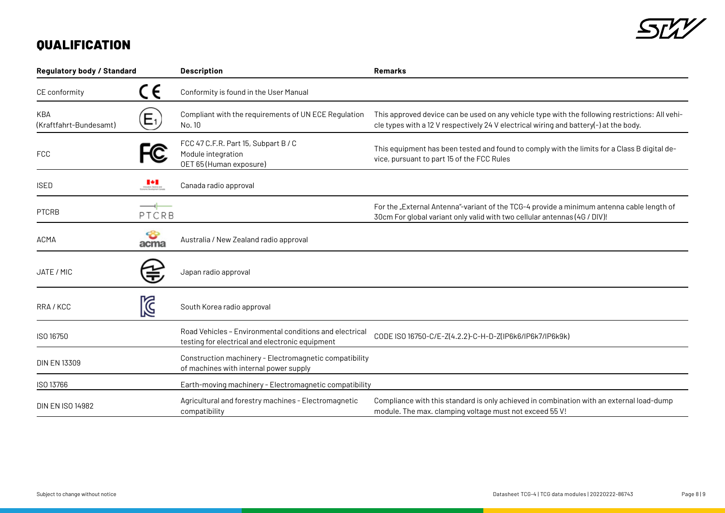

## **QUALIFICATION**

| <b>Regulatory body / Standard</b> |                | <b>Description</b>                                                                                         | <b>Remarks</b>                                                                                                                                                                           |  |  |
|-----------------------------------|----------------|------------------------------------------------------------------------------------------------------------|------------------------------------------------------------------------------------------------------------------------------------------------------------------------------------------|--|--|
| CE conformity                     | CE             | Conformity is found in the User Manual                                                                     |                                                                                                                                                                                          |  |  |
| KBA<br>(Kraftfahrt-Bundesamt)     | Е1,            | Compliant with the requirements of UN ECE Regulation<br>No. 10                                             | This approved device can be used on any vehicle type with the following restrictions: All vehi-<br>cle types with a 12 V respectively 24 V electrical wiring and battery(-) at the body. |  |  |
| <b>FCC</b>                        | C              | FCC 47 C.F.R. Part 15, Subpart B / C<br>Module integration<br>OET 65 (Human exposure)                      | This equipment has been tested and found to comply with the limits for a Class B digital de-<br>vice, pursuant to part 15 of the FCC Rules                                               |  |  |
| <b>ISED</b>                       | $\mathbf{P}$   | Canada radio approval                                                                                      |                                                                                                                                                                                          |  |  |
| <b>PTCRB</b>                      | ——1——<br>PTCRB |                                                                                                            | For the "External Antenna"-variant of the TCG-4 provide a minimum antenna cable length of<br>30cm For global variant only valid with two cellular antennas (4G / DIV)!                   |  |  |
| ACMA                              | acma           | Australia / New Zealand radio approval                                                                     |                                                                                                                                                                                          |  |  |
| JATE / MIC                        |                | Japan radio approval                                                                                       |                                                                                                                                                                                          |  |  |
| RRA/KCC                           | K              | South Korea radio approval                                                                                 |                                                                                                                                                                                          |  |  |
| ISO 16750                         |                | Road Vehicles - Environmental conditions and electrical<br>testing for electrical and electronic equipment | CODE ISO 16750-C/E-Z(4.2.2)-C-H-D-Z(IP6k6/IP6k7/IP6k9k)                                                                                                                                  |  |  |
| <b>DIN EN 13309</b>               |                | Construction machinery - Electromagnetic compatibility<br>of machines with internal power supply           |                                                                                                                                                                                          |  |  |
| ISO 13766                         |                | Earth-moving machinery - Electromagnetic compatibility                                                     |                                                                                                                                                                                          |  |  |
| <b>DIN EN ISO 14982</b>           |                | Agricultural and forestry machines - Electromagnetic<br>compatibility                                      | Compliance with this standard is only achieved in combination with an external load-dump<br>module. The max. clamping voltage must not exceed 55 V!                                      |  |  |